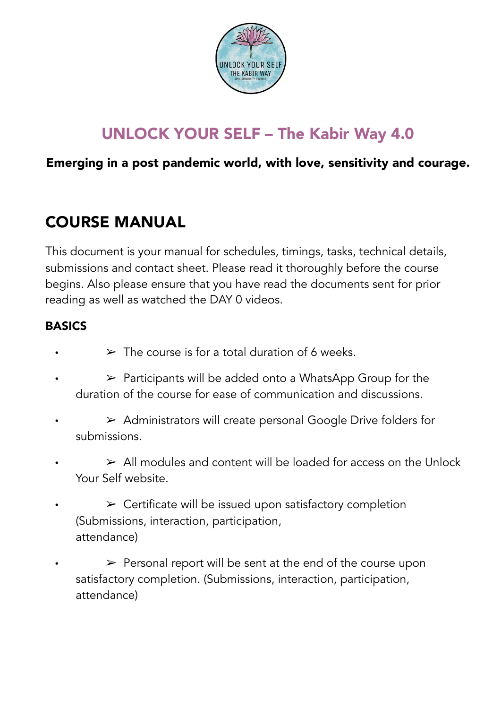

# UNLOCK YOUR SELF – The Kabir Way 4.0

# Emerging in a post pandemic world, with love, sensitivity and courage.

# COURSE MANUAL

This document is your manual for schedules, timings, tasks, technical details, submissions and contact sheet. Please read it thoroughly before the course begins. Also please ensure that you have read the documents sent for prior reading as well as watched the DAY 0 videos.

## BASICS

- $\triangleright$  The course is for a total duration of 6 weeks.
- $\triangleright$  Participants will be added onto a WhatsApp Group for the duration of the course for ease of communication and discussions.
- $\rightarrow$  Administrators will create personal Google Drive folders for submissions.
- $\geq$  All modules and content will be loaded for access on the Unlock Your Self website.
- $\triangleright$  Certificate will be issued upon satisfactory completion (Submissions, interaction, participation, attendance)
- $\triangleright$  Personal report will be sent at the end of the course upon satisfactory completion. (Submissions, interaction, participation, attendance)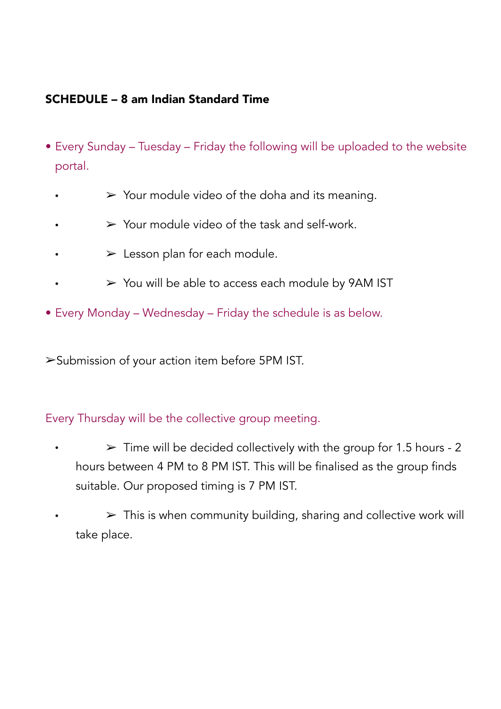#### SCHEDULE – 8 am Indian Standard Time

- Every Sunday Tuesday Friday the following will be uploaded to the website portal.
	- $\triangleright$  Your module video of the doha and its meaning.
	- $\triangleright$  Your module video of the task and self-work.
	- $\blacktriangleright$  Lesson plan for each module.
		- $\triangleright$  You will be able to access each module by 9AM IST
- Every Monday Wednesday Friday the schedule is as below.

➢Submission of your action item before 5PM IST.

#### Every Thursday will be the collective group meeting.

 $\geq$  Time will be decided collectively with the group for 1.5 hours - 2 hours between 4 PM to 8 PM IST. This will be finalised as the group finds suitable. Our proposed timing is 7 PM IST.

 $\triangleright$  This is when community building, sharing and collective work will take place.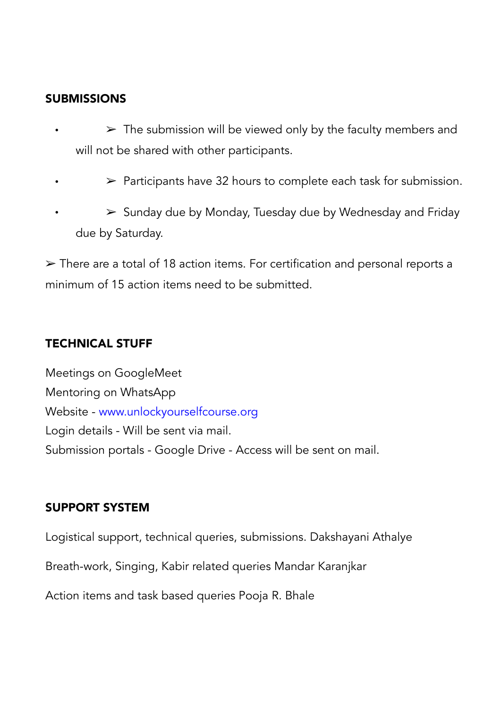#### **SUBMISSIONS**

- $\triangleright$  The submission will be viewed only by the faculty members and will not be shared with other participants.
- $\triangleright$  Participants have 32 hours to complete each task for submission.
- $\triangleright$  Sunday due by Monday, Tuesday due by Wednesday and Friday due by Saturday.

➢ There are a total of 18 action items. For certification and personal reports a minimum of 15 action items need to be submitted.

#### TECHNICAL STUFF

Meetings on GoogleMeet Mentoring on WhatsApp Website - www.unlockyourselfcourse.org Login details - Will be sent via mail. Submission portals - Google Drive - Access will be sent on mail.

#### SUPPORT SYSTEM

Logistical support, technical queries, submissions. Dakshayani Athalye

Breath-work, Singing, Kabir related queries Mandar Karanjkar

Action items and task based queries Pooja R. Bhale